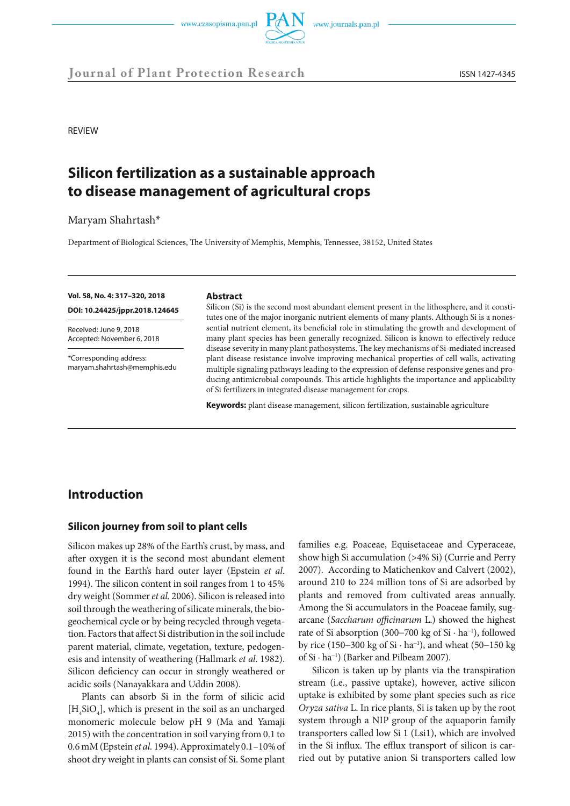



REVIEW

# **Silicon fertilization as a sustainable approach to disease management of agricultural crops**

Maryam Shahrtash\*

Department of Biological Sciences, The University of Memphis, Memphis, Tennessee, 38152, United States

## **Vol. 58, No. 4: 317–320, 2018**

**DOI: 10.24425/jppr.2018.124645**

Received: June 9, 2018 Accepted: November 6, 2018

\*Corresponding address: maryam.shahrtash@memphis.edu

#### **Abstract**

Silicon (Si) is the second most abundant element present in the lithosphere, and it constitutes one of the major inorganic nutrient elements of many plants. Although Si is a nonessential nutrient element, its beneficial role in stimulating the growth and development of many plant species has been generally recognized. Silicon is known to effectively reduce disease severity in many plant pathosystems. The key mechanisms of Si-mediated increased plant disease resistance involve improving mechanical properties of cell walls, activating multiple signaling pathways leading to the expression of defense responsive genes and producing antimicrobial compounds. This article highlights the importance and applicability of Si fertilizers in integrated disease management for crops.

**Keywords:** plant disease management, silicon fertilization, sustainable agriculture

# **Introduction**

### **Silicon journey from soil to plant cells**

Silicon makes up 28% of the Earth's crust, by mass, and after oxygen it is the second most abundant element found in the Earth's hard outer layer (Epstein *et al*. 1994). The silicon content in soil ranges from 1 to 45% dry weight (Sommer *et al.* 2006). Silicon is released into soil through the weathering of silicate minerals, the biogeochemical cycle or by being recycled through vegetation. Factors that affect Si distribution in the soil include parent material, climate, vegetation, texture, pedogenesis and intensity of weathering (Hallmark *et al*. 1982). Silicon deficiency can occur in strongly weathered or acidic soils (Nanayakkara and Uddin 2008).

Plants can absorb Si in the form of silicic acid  $[H<sub>4</sub>SiO<sub>4</sub>]$ , which is present in the soil as an uncharged monomeric molecule below pH 9 (Ma and Yamaji 2015) with the concentration in soil varying from 0.1 to 0.6 mM (Epstein *et al.* 1994). Approximately 0.1–10% of shoot dry weight in plants can consist of Si. Some plant

families e.g. Poaceae, Equisetaceae and Cyperaceae, show high Si accumulation (>4% Si) (Currie and Perry 2007). According to Matichenkov and Calvert (2002), around 210 to 224 million tons of Si are adsorbed by plants and removed from cultivated areas annually. Among the Si accumulators in the Poaceae family, sugarcane (*Saccharum officinarum* L.) showed the highest rate of Si absorption (300−700 kg of Si · ha<sup>−</sup><sup>1</sup> ), followed by rice (150−300 kg of Si · ha<sup>−</sup><sup>1</sup> ), and wheat (50−150 kg of Si · ha<sup>−</sup><sup>1</sup> ) (Barker and Pilbeam 2007).

Silicon is taken up by plants via the transpiration stream (i.e., passive uptake), however, active silicon uptake is exhibited by some plant species such as rice *Oryza sativa* L. In rice plants, Si is taken up by the root system through a NIP group of the aquaporin family transporters called low Si 1 (Lsi1), which are involved in the Si influx. The efflux transport of silicon is carried out by putative anion Si transporters called low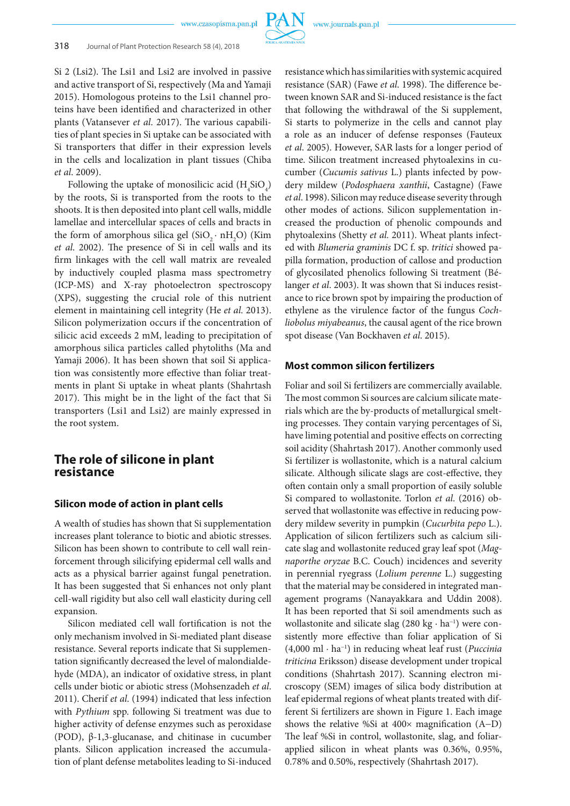www.czasopisma.pan.pl

Si 2 (Lsi2). The Lsi1 and Lsi2 are involved in passive and active transport of Si, respectively (Ma and Yamaji 2015). Homologous proteins to the Lsi1 channel proteins have been identified and characterized in other plants (Vatansever *et al*. 2017). The various capabilities of plant species in Si uptake can be associated with Si transporters that differ in their expression levels in the cells and localization in plant tissues (Chiba *et al*. 2009).

Following the uptake of monosilicic acid  $(H_4SiO_4)$ by the roots, Si is transported from the roots to the shoots. It is then deposited into plant cell walls, middle lamellae and intercellular spaces of cells and bracts in the form of amorphous silica gel  $(SiO_2 \cdot nH_2O)$  (Kim *et al*. 2002). The presence of Si in cell walls and its firm linkages with the cell wall matrix are revealed by inductively coupled plasma mass spectrometry (ICP-MS) and X-ray photoelectron spectroscopy (XPS), suggesting the crucial role of this nutrient element in maintaining cell integrity (He *et al.* 2013). Silicon polymerization occurs if the concentration of silicic acid exceeds 2 mM, leading to precipitation of amorphous silica particles called phytoliths (Ma and Yamaji 2006). It has been shown that soil Si application was consistently more effective than foliar treatments in plant Si uptake in wheat plants (Shahrtash 2017). This might be in the light of the fact that Si transporters (Lsi1 and Lsi2) are mainly expressed in the root system.

# **The role of silicone in plant resistance**

## **Silicon mode of action in plant cells**

A wealth of studies has shown that Si supplementation increases plant tolerance to biotic and abiotic stresses. Silicon has been shown to contribute to cell wall reinforcement through silicifying epidermal cell walls and acts as a physical barrier against fungal penetration. It has been suggested that Si enhances not only plant cell-wall rigidity but also cell wall elasticity during cell expansion.

Silicon mediated cell wall fortification is not the only mechanism involved in Si-mediated plant disease resistance. Several reports indicate that Si supplementation significantly decreased the level of malondialdehyde (MDA), an indicator of oxidative stress, in plant cells under biotic or abiotic stress (Mohsenzadeh *et al*. 2011). Cherif *et al*. (1994) indicated that less infection with *Pythium* spp. following Si treatment was due to higher activity of defense enzymes such as peroxidase (POD), β-1,3-glucanase, and chitinase in cucumber plants. Silicon application increased the accumulation of plant defense metabolites leading to Si-induced resistance which has similarities with systemic acquired resistance (SAR) (Fawe *et al*. 1998). The difference between known SAR and Si-induced resistance is the fact that following the withdrawal of the Si supplement, Si starts to polymerize in the cells and cannot play a role as an inducer of defense responses (Fauteux *et al*. 2005). However, SAR lasts for a longer period of time. Silicon treatment increased phytoalexins in cucumber (*Cucumis sativus* L.) plants infected by powdery mildew (*Podosphaera xanthii*, Castagne) (Fawe *et al*. 1998). Silicon may reduce disease severity through other modes of actions. Silicon supplementation increased the production of phenolic compounds and phytoalexins (Shetty *et al.* 2011). Wheat plants infected with *Blumeria graminis* DC f. sp. *tritici* showed papilla formation, production of callose and production of glycosilated phenolics following Si treatment (Bélanger *et al*. 2003). It was shown that Si induces resistance to rice brown spot by impairing the production of ethylene as the virulence factor of the fungus *Cochliobolus miyabeanus*, the causal agent of the rice brown spot disease (Van Bockhaven *et al*. 2015).

## **Most common silicon fertilizers**

Foliar and soil Si fertilizers are commercially available. The most common Si sources are calcium silicate materials which are the by-products of metallurgical smelting processes. They contain varying percentages of Si, have liming potential and positive effects on correcting soil acidity (Shahrtash 2017). Another commonly used Si fertilizer is wollastonite, which is a natural calcium silicate. Although silicate slags are cost-effective, they often contain only a small proportion of easily soluble Si compared to wollastonite. Torlon *et al*. (2016) observed that wollastonite was effective in reducing powdery mildew severity in pumpkin (*Cucurbita pepo* L.). Application of silicon fertilizers such as calcium silicate slag and wollastonite reduced gray leaf spot (*Magnaporthe oryzae* B.C. Couch) incidences and severity in perennial ryegrass (*Lolium perenne* L.) suggesting that the material may be considered in integrated management programs (Nanayakkara and Uddin 2008). It has been reported that Si soil amendments such as wollastonite and silicate slag (280 kg · ha<sup>−</sup><sup>1</sup> ) were consistently more effective than foliar application of Si (4,000 ml · ha<sup>−</sup><sup>1</sup> ) in reducing wheat leaf rust (*Puccinia triticina* Eriksson) disease development under tropical conditions (Shahrtash 2017). Scanning electron microscopy (SEM) images of silica body distribution at leaf epidermal regions of wheat plants treated with different Si fertilizers are shown in Figure 1. Each image shows the relative %Si at 400× magnification (A−D) The leaf %Si in control, wollastonite, slag, and foliarapplied silicon in wheat plants was 0.36%, 0.95%, 0.78% and 0.50%, respectively (Shahrtash 2017).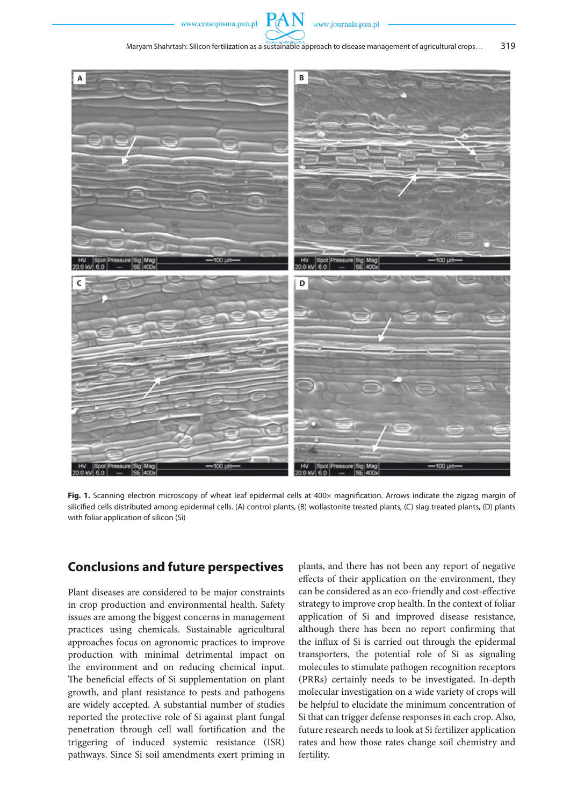www.czasopisma.pan.pl





Fig. 1. Scanning electron microscopy of wheat leaf epidermal cells at 400x magnification. Arrows indicate the zigzag margin of silicified cells distributed among epidermal cells. (A) control plants, (B) wollastonite treated plants, (C) slag treated plants, (D) plants with foliar application of silicon (Si)

# **Conclusions and future perspectives**

Plant diseases are considered to be major constraints in crop production and environmental health. Safety issues are among the biggest concerns in management practices using chemicals. Sustainable agricultural approaches focus on agronomic practices to improve production with minimal detrimental impact on the environment and on reducing chemical input. The beneficial effects of Si supplementation on plant growth, and plant resistance to pests and pathogens are widely accepted. A substantial number of studies reported the protective role of Si against plant fungal penetration through cell wall fortification and the triggering of induced systemic resistance (ISR) pathways. Since Si soil amendments exert priming in

plants, and there has not been any report of negative effects of their application on the environment, they can be considered as an eco-friendly and cost-effective strategy to improve crop health. In the context of foliar application of Si and improved disease resistance, although there has been no report confirming that the influx of Si is carried out through the epidermal transporters, the potential role of Si as signaling molecules to stimulate pathogen recognition receptors (PRRs) certainly needs to be investigated. In-depth molecular investigation on a wide variety of crops will be helpful to elucidate the minimum concentration of Si that can trigger defense responses in each crop. Also, future research needs to look at Si fertilizer application rates and how those rates change soil chemistry and fertility.